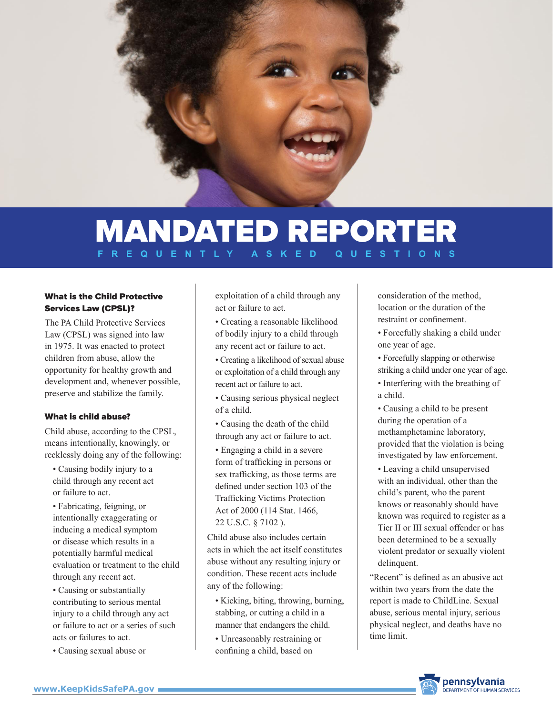

# MANDATED REPORTER **REQUENTLY**

## What is the Child Protective Services Law (CPSL)?

The PA Child Protective Services Law (CPSL) was signed into law in 1975. It was enacted to protect children from abuse, allow the opportunity for healthy growth and development and, whenever possible, preserve and stabilize the family.

#### What is child abuse?

Child abuse, according to the CPSL, means intentionally, knowingly, or recklessly doing any of the following:

- Causing bodily injury to a child through any recent act or failure to act.
- Fabricating, feigning, or intentionally exaggerating or inducing a medical symptom or disease which results in a potentially harmful medical evaluation or treatment to the child through any recent act.
- Causing or substantially contributing to serious mental injury to a child through any act or failure to act or a series of such acts or failures to act.
- Causing sexual abuse or

exploitation of a child through any act or failure to act.

- Creating a reasonable likelihood of bodily injury to a child through any recent act or failure to act.
- Creating a likelihood of sexual abuse or exploitation of a child through any recent act or failure to act.
- Causing serious physical neglect of a child.
- Causing the death of the child through any act or failure to act.
- Engaging a child in a severe form of trafficking in persons or sex trafficking, as those terms are defined under section 103 of the Trafficking Victims Protection Act of 2000 (114 Stat. 1466, 22 U.S.C. § 7102 ).

Child abuse also includes certain acts in which the act itself constitutes abuse without any resulting injury or condition. These recent acts include any of the following:

- Kicking, biting, throwing, burning, stabbing, or cutting a child in a manner that endangers the child.
- Unreasonably restraining or confining a child, based on

consideration of the method, location or the duration of the restraint or confinement.

- Forcefully shaking a child under one year of age.
- Forcefully slapping or otherwise striking a child under one year of age.
- Interfering with the breathing of a child.
- Causing a child to be present during the operation of a methamphetamine laboratory, provided that the violation is being investigated by law enforcement.
- Leaving a child unsupervised with an individual, other than the child's parent, who the parent knows or reasonably should have known was required to register as a Tier II or III sexual offender or has been determined to be a sexually violent predator or sexually violent delinquent.

"Recent" is defined as an abusive act within two years from the date the report is made to ChildLine. Sexual abuse, serious mental injury, serious physical neglect, and deaths have no time limit.

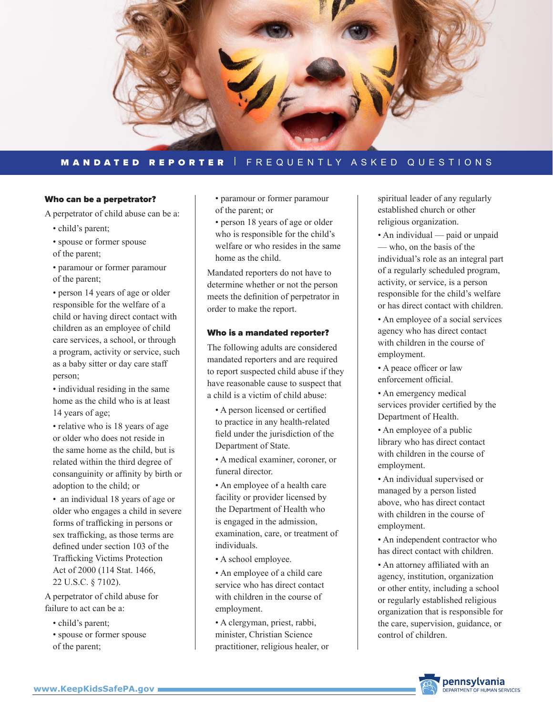

# MANDATED REPORTER | FREQUENTLY ASKED QUESTIONS

#### Who can be a perpetrator?

A perpetrator of child abuse can be a:

- child's parent;
- spouse or former spouse of the parent;
- paramour or former paramour of the parent;

• person 14 years of age or older responsible for the welfare of a child or having direct contact with children as an employee of child care services, a school, or through a program, activity or service, such as a baby sitter or day care staff person;

• individual residing in the same home as the child who is at least 14 years of age;

• relative who is 18 years of age or older who does not reside in the same home as the child, but is related within the third degree of consanguinity or affinity by birth or adoption to the child; or

• an individual 18 years of age or older who engages a child in severe forms of trafficking in persons or sex trafficking, as those terms are defined under section 103 of the Trafficking Victims Protection Act of 2000 (114 Stat. 1466, 22 U.S.C. § 7102).

A perpetrator of child abuse for failure to act can be a:

- child's parent:
- spouse or former spouse of the parent;
- paramour or former paramour of the parent; or
- person 18 years of age or older who is responsible for the child's welfare or who resides in the same home as the child.

Mandated reporters do not have to determine whether or not the person meets the definition of perpetrator in order to make the report.

#### Who is a mandated reporter?

The following adults are considered mandated reporters and are required to report suspected child abuse if they have reasonable cause to suspect that a child is a victim of child abuse:

• A person licensed or certified to practice in any health-related field under the jurisdiction of the Department of State.

• A medical examiner, coroner, or funeral director.

• An employee of a health care facility or provider licensed by the Department of Health who is engaged in the admission, examination, care, or treatment of individuals.

- A school employee.
- An employee of a child care service who has direct contact with children in the course of employment.

• A clergyman, priest, rabbi, minister, Christian Science practitioner, religious healer, or spiritual leader of any regularly established church or other religious organization.

- An individual paid or unpaid — who, on the basis of the individual's role as an integral part of a regularly scheduled program, activity, or service, is a person responsible for the child's welfare or has direct contact with children.
- An employee of a social services agency who has direct contact with children in the course of employment.
- A peace officer or law enforcement official.
- An emergency medical services provider certified by the Department of Health.
- An employee of a public library who has direct contact with children in the course of employment.
- An individual supervised or managed by a person listed above, who has direct contact with children in the course of employment.
- An independent contractor who has direct contact with children.
- An attorney affiliated with an agency, institution, organization or other entity, including a school or regularly established religious organization that is responsible for the care, supervision, guidance, or control of children.

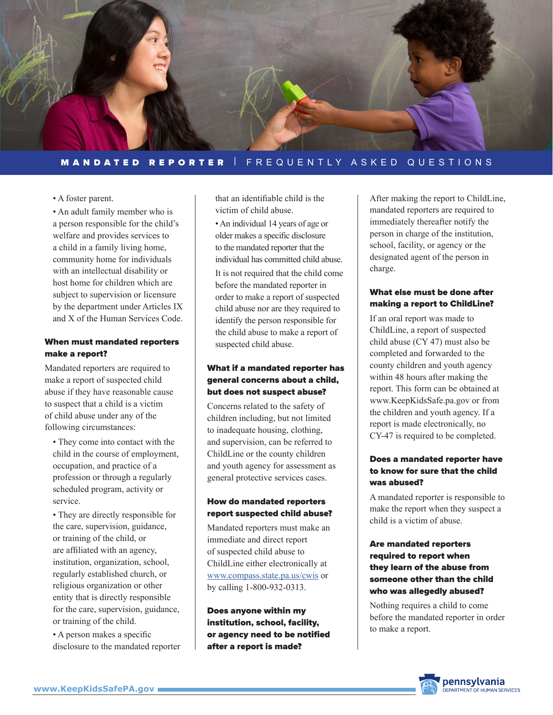

## MANDATED REPORTER | FREQUENTLY ASKED QUESTIONS

#### • A foster parent.

• An adult family member who is a person responsible for the child's welfare and provides services to a child in a family living home, community home for individuals with an intellectual disability or host home for children which are subject to supervision or licensure by the department under Articles IX and X of the Human Services Code.

# When must mandated reporters make a report?

Mandated reporters are required to make a report of suspected child abuse if they have reasonable cause to suspect that a child is a victim of child abuse under any of the following circumstances:

• They come into contact with the child in the course of employment, occupation, and practice of a profession or through a regularly scheduled program, activity or service.

• They are directly responsible for the care, supervision, guidance, or training of the child, or are affiliated with an agency, institution, organization, school, regularly established church, or religious organization or other entity that is directly responsible for the care, supervision, guidance, or training of the child.

• A person makes a specific disclosure to the mandated reporter that an identifiable child is the victim of child abuse.

• An individual 14 years of age or older makes a specific disclosure to the mandated reporter that the individual has committed child abuse. It is not required that the child come before the mandated reporter in order to make a report of suspected child abuse nor are they required to identify the person responsible for the child abuse to make a report of suspected child abuse.

## What if a mandated reporter has general concerns about a child, but does not suspect abuse?

Concerns related to the safety of children including, but not limited to inadequate housing, clothing, and supervision, can be referred to ChildLine or the county children and youth agency for assessment as general protective services cases.

#### How do mandated reporters report suspected child abuse?

Mandated reporters must make an immediate and direct report of suspected child abuse to ChildLine either electronically at <www.compass.state.pa.us/cwis>or by calling 1-800-932-0313.

Does anyone within my institution, school, facility, or agency need to be notified after a report is made?

After making the report to ChildLine, mandated reporters are required to immediately thereafter notify the person in charge of the institution, school, facility, or agency or the designated agent of the person in charge.

## What else must be done after making a report to ChildLine?

If an oral report was made to ChildLine, a report of suspected child abuse (CY 47) must also be completed and forwarded to the county children and youth agency within 48 hours after making the report. This form can be obtained at www.KeepKidsSafe.pa.gov or from the children and youth agency. If a report is made electronically, no CY-47 is required to be completed.

# Does a mandated reporter have to know for sure that the child was abused?

A mandated reporter is responsible to make the report when they suspect a child is a victim of abuse.

# Are mandated reporters required to report when they learn of the abuse from someone other than the child who was allegedly abused?

Nothing requires a child to come before the mandated reporter in order to make a report.